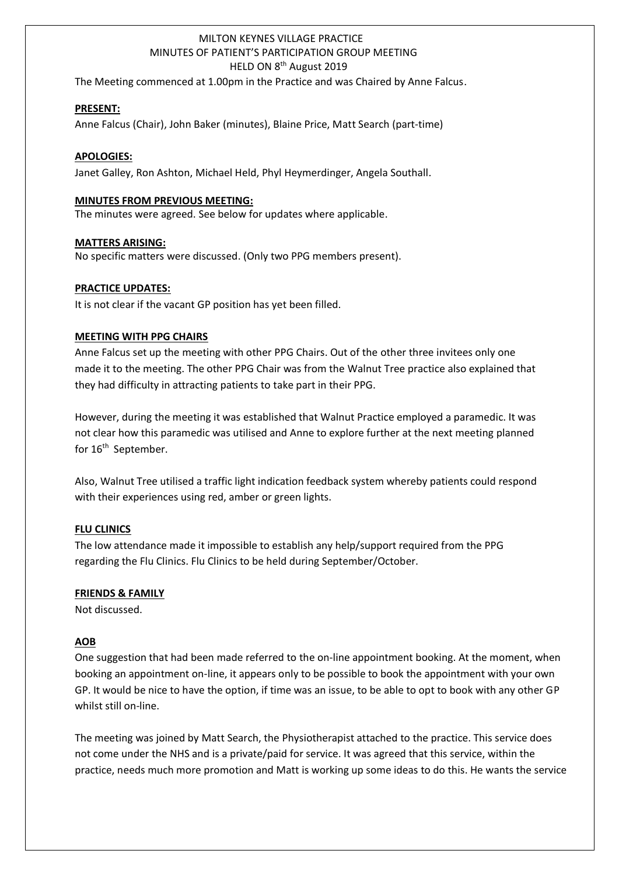# MILTON KEYNES VILLAGE PRACTICE MINUTES OF PATIENT'S PARTICIPATION GROUP MEETING HELD ON 8<sup>th</sup> August 2019

The Meeting commenced at 1.00pm in the Practice and was Chaired by Anne Falcus.

## **PRESENT:**

1

Anne Falcus (Chair), John Baker (minutes), Blaine Price, Matt Search (part-time)

#### **APOLOGIES:**

Janet Galley, Ron Ashton, Michael Held, Phyl Heymerdinger, Angela Southall.

#### **MINUTES FROM PREVIOUS MEETING:**

The minutes were agreed. See below for updates where applicable.

#### **MATTERS ARISING:**

No specific matters were discussed. (Only two PPG members present).

## **PRACTICE UPDATES:**

It is not clear if the vacant GP position has yet been filled.

## **MEETING WITH PPG CHAIRS**

Anne Falcus set up the meeting with other PPG Chairs. Out of the other three invitees only one made it to the meeting. The other PPG Chair was from the Walnut Tree practice also explained that they had difficulty in attracting patients to take part in their PPG.

However, during the meeting it was established that Walnut Practice employed a paramedic. It was not clear how this paramedic was utilised and Anne to explore further at the next meeting planned for 16<sup>th</sup> September.

Also, Walnut Tree utilised a traffic light indication feedback system whereby patients could respond with their experiences using red, amber or green lights.

## **FLU CLINICS**

The low attendance made it impossible to establish any help/support required from the PPG regarding the Flu Clinics. Flu Clinics to be held during September/October.

#### **FRIENDS & FAMILY**

Not discussed.

## **AOB**

One suggestion that had been made referred to the on-line appointment booking. At the moment, when booking an appointment on-line, it appears only to be possible to book the appointment with your own GP. It would be nice to have the option, if time was an issue, to be able to opt to book with any other GP whilst still on-line.

The meeting was joined by Matt Search, the Physiotherapist attached to the practice. This service does not come under the NHS and is a private/paid for service. It was agreed that this service, within the practice, needs much more promotion and Matt is working up some ideas to do this. He wants the service